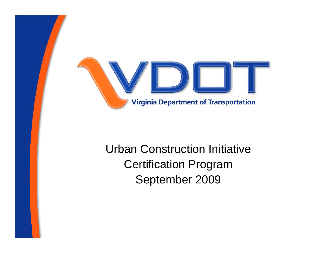

### Urban Construction InitiativeCertification Program September 2009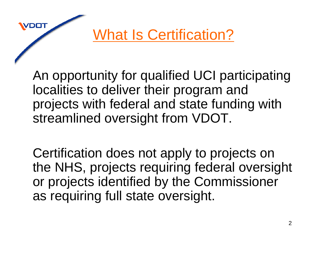What Is Certification?

An opportunity for qualified UCI participating localities to deliver their program and projects with federal and state funding with streamlined oversight from VDOT.

Certification does not apply to projects on the NHS, projects requiring federal oversight or projects identified by the Commissioner as requiring full state oversight.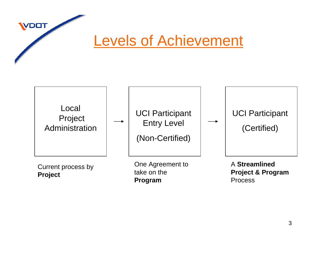Levels of Achievement



**Project**

**VDOT** 

take on the **Program**

**Project & Program**  Process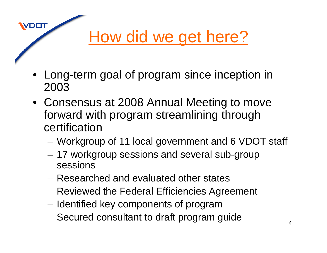# How did we get here?

• Long-term goal of program since inception in 2003

- Consensus at 2008 Annual Meeting to move forward with program streamlining through certification
	- and the state of the Workgroup of 11 local government and 6 VDOT staff
	- – 17 workgroup sessions and several sub-group sessions
	- Researched and evaluated other states
	- and the state of the Reviewed the Federal Efficiencies Agreement
	- –Identified key components of program
	- and the state of the Secured consultant to draft program guide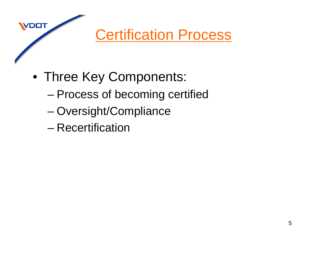Certification Process

- Three Key Components:
	- –Process of becoming certified
	- and the state of the state Oversight/Compliance
	- Recertification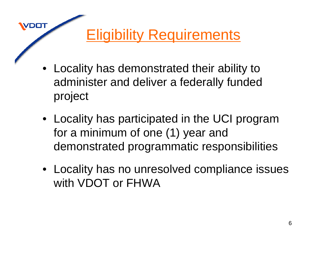### Eligibility Requirements

• Locality has demonstrated their ability to administer and deliver a federally funded project

- Locality has participated in the UCI program for a minimum of one (1) year and demonstrated programmatic responsibilities
- Locality has no unresolved compliance issues with VDOT or FHWA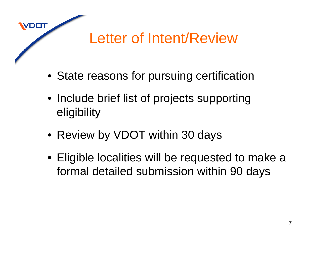### Letter of Intent/Review

- State reasons for pursuing certification
- Include brief list of projects supporting eligibility
- Review by VDOT within 30 days

DOT

• Eligible localities will be requested to make a formal detailed submission within 90 days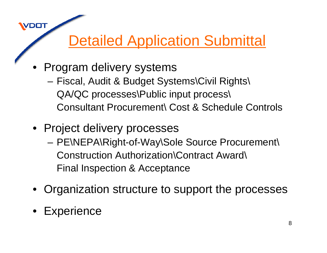### Detailed Application Submittal

- Program delivery systems
	- – Fiscal, Audit & Budget Systems\Civil Rights\ QA/QC processes\Public input process\ Consultant Procurement\ Cost & Schedule Controls
- Project delivery processes
	- – PE\NEPA\Right-of-Way\Sole Source Procurement\ Construction Authorization\Contract Award\ Final Inspection & Acceptance
- •Organization structure to support the processes
- •**Experience**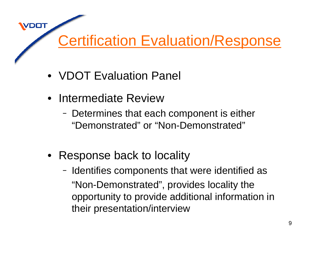### Certification Evaluation/Response

- VDOT Evaluation Panel
- Intermediate Review

- Determines that each component is either "Demonstrated" or "Non-Demonstrated"
- Response back to locality
	- Identifies components that were identified as "Non-Demonstrated", provides locality the opportunity to provide additional information in their presentation/interview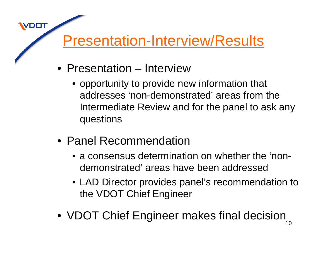### Presentation-Interview/Results

• Presentation – Interview

- opportunity to provide new information that addresses 'non-demonstrated' areas from the Intermediate Review and for the panel to ask any questions
- Panel Recommendation
	- a consensus determination on whether the 'nondemonstrated' areas have been addressed
	- LAD Director provides panel's recommendation to the VDOT Chief Engineer
- VDOT Chief Engineer makes final decision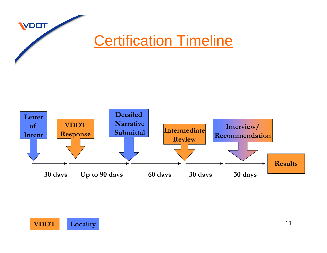# **VDOT Certification Timeline**



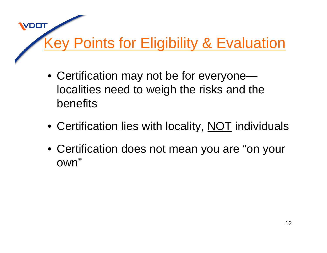## **Key Points for Eligibility & Evaluation**

- Certification may not be for everyone localities need to weigh the risks and the benefits
- Certification lies with locality, <u>NOT</u> individuals
- Certification does not mean you are "on your own"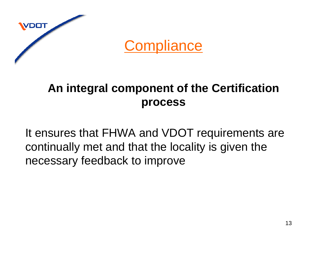

DOT

#### **An integral component of the Certification process**

It ensures that FHWA and VDOT requirements are continually met and that the locality is given the necessary feedback to improve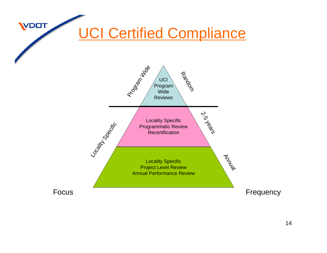### UCI Certified Compliance

**WDOT** 

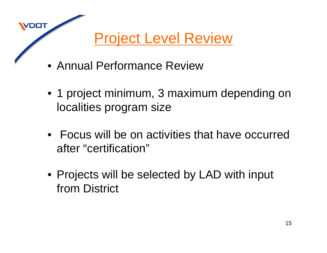Project Level Review

• Annual Performance Review

- 1 project minimum, 3 maximum depending on localities program size
- Focus will be on activities that have occurred after "certification"
- Projects will be selected by LAD with input from District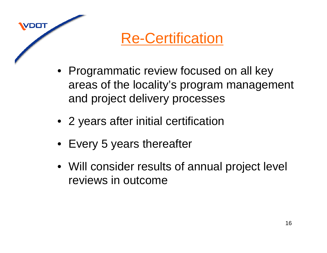Re-Certification

- Programmatic review focused on all key areas of the locality's program management and project delivery processes
- 2 years after initial certification
- Every 5 years thereafter

DOT

• Will consider results of annual project level reviews in outcome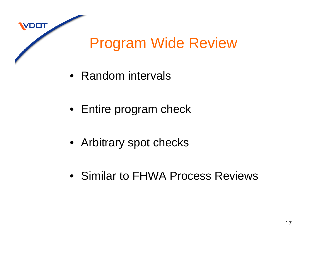### Program Wide Review

• Random intervals

- Entire program check
- Arbitrary spot checks
- Similar to FHWA Process Reviews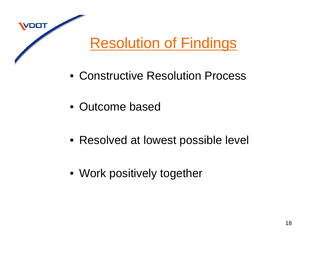

- Constructive Resolution Process
- Outcome based

- Resolved at lowest possible level
- Work positively together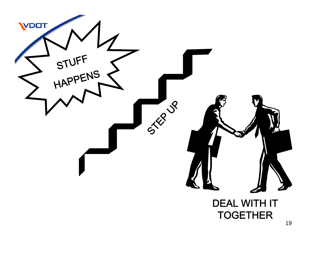